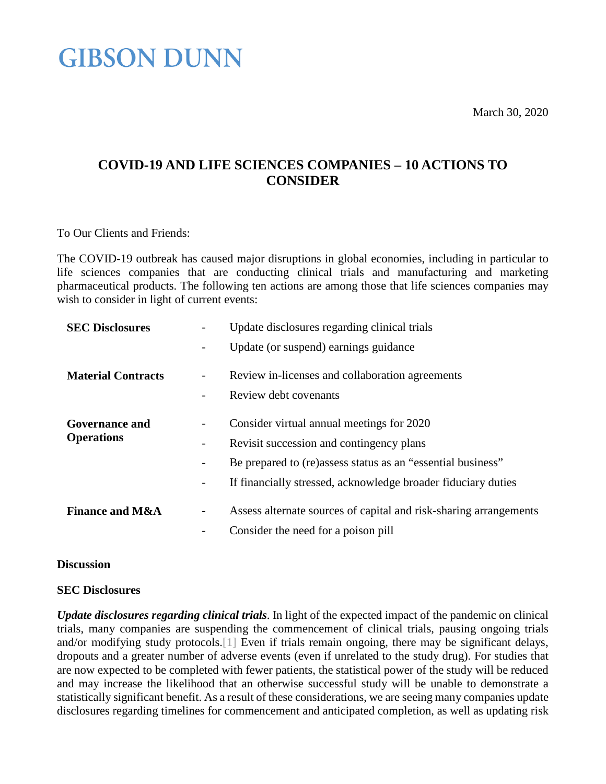March 30, 2020

### **COVID-19 AND LIFE SCIENCES COMPANIES – 10 ACTIONS TO CONSIDER**

To Our Clients and Friends:

The COVID-19 outbreak has caused major disruptions in global economies, including in particular to life sciences companies that are conducting clinical trials and manufacturing and marketing pharmaceutical products. The following ten actions are among those that life sciences companies may wish to consider in light of current events:

| <b>SEC Disclosures</b>                     | Update disclosures regarding clinical trials                           |
|--------------------------------------------|------------------------------------------------------------------------|
|                                            | Update (or suspend) earnings guidance<br>-                             |
| <b>Material Contracts</b>                  | Review in-licenses and collaboration agreements                        |
|                                            | Review debt covenants                                                  |
| <b>Governance and</b><br><b>Operations</b> | Consider virtual annual meetings for 2020                              |
|                                            | Revisit succession and contingency plans                               |
|                                            | Be prepared to (re)assess status as an "essential business"<br>-       |
|                                            | If financially stressed, acknowledge broader fiduciary duties<br>-     |
| <b>Finance and M&amp;A</b>                 | Assess alternate sources of capital and risk-sharing arrangements<br>- |
|                                            | Consider the need for a poison pill                                    |

#### **Discussion**

#### **SEC Disclosures**

*Update disclosures regarding clinical trials*. In light of the expected impact of the pandemic on clinical trials, many companies are suspending the commencement of clinical trials, pausing ongoing trials and/or modifying study protocols[.\[1\]](#page-3-0) Even if trials remain ongoing, there may be significant delays, dropouts and a greater number of adverse events (even if unrelated to the study drug). For studies that are now expected to be completed with fewer patients, the statistical power of the study will be reduced and may increase the likelihood that an otherwise successful study will be unable to demonstrate a statistically significant benefit. As a result of these considerations, we are seeing many companies update disclosures regarding timelines for commencement and anticipated completion, as well as updating risk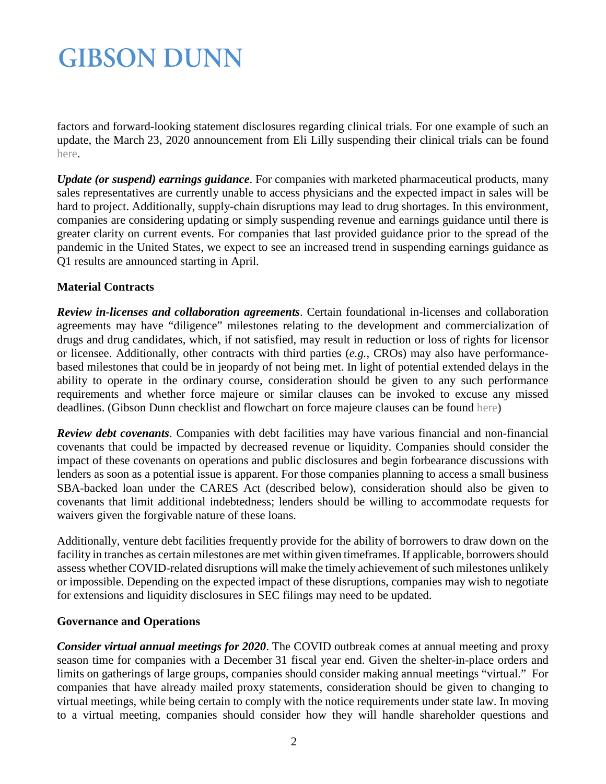factors and forward-looking statement disclosures regarding clinical trials. For one example of such an update, the March 23, 2020 announcement from Eli Lilly suspending their clinical trials can be found [here.](https://investor.lilly.com/news-releases/news-release-details/lilly-provides-update-clinical-trial-activities-during-covid-19)

*Update (or suspend) earnings guidance*. For companies with marketed pharmaceutical products, many sales representatives are currently unable to access physicians and the expected impact in sales will be hard to project. Additionally, supply-chain disruptions may lead to drug shortages. In this environment, companies are considering updating or simply suspending revenue and earnings guidance until there is greater clarity on current events. For companies that last provided guidance prior to the spread of the pandemic in the United States, we expect to see an increased trend in suspending earnings guidance as Q1 results are announced starting in April.

### **Material Contracts**

*Review in-licenses and collaboration agreements*. Certain foundational in-licenses and collaboration agreements may have "diligence" milestones relating to the development and commercialization of drugs and drug candidates, which, if not satisfied, may result in reduction or loss of rights for licensor or licensee. Additionally, other contracts with third parties (*e.g.*, CROs) may also have performancebased milestones that could be in jeopardy of not being met. In light of potential extended delays in the ability to operate in the ordinary course, consideration should be given to any such performance requirements and whether force majeure or similar clauses can be invoked to excuse any missed deadlines. (Gibson Dunn checklist and flowchart on force majeure clauses can be found [here\)](https://www.gibsondunn.com/force-majeure-clauses-a-4-step-checklist-and-flowchart/)

*Review debt covenants*. Companies with debt facilities may have various financial and non-financial covenants that could be impacted by decreased revenue or liquidity. Companies should consider the impact of these covenants on operations and public disclosures and begin forbearance discussions with lenders as soon as a potential issue is apparent. For those companies planning to access a small business SBA-backed loan under the CARES Act (described below), consideration should also be given to covenants that limit additional indebtedness; lenders should be willing to accommodate requests for waivers given the forgivable nature of these loans.

Additionally, venture debt facilities frequently provide for the ability of borrowers to draw down on the facility in tranches as certain milestones are met within given timeframes. If applicable, borrowers should assess whether COVID-related disruptions will make the timely achievement of such milestones unlikely or impossible. Depending on the expected impact of these disruptions, companies may wish to negotiate for extensions and liquidity disclosures in SEC filings may need to be updated.

### **Governance and Operations**

*Consider virtual annual meetings for 2020*. The COVID outbreak comes at annual meeting and proxy season time for companies with a December 31 fiscal year end. Given the shelter-in-place orders and limits on gatherings of large groups, companies should consider making annual meetings "virtual." For companies that have already mailed proxy statements, consideration should be given to changing to virtual meetings, while being certain to comply with the notice requirements under state law. In moving to a virtual meeting, companies should consider how they will handle shareholder questions and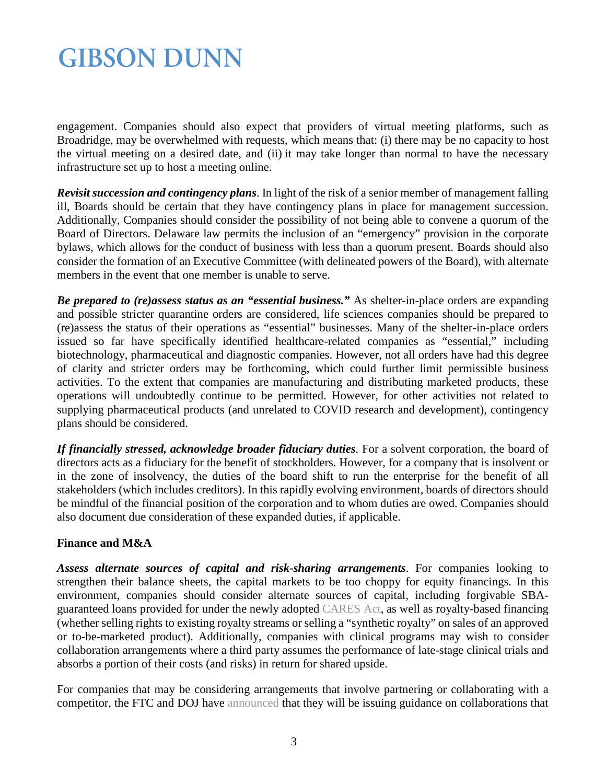engagement. Companies should also expect that providers of virtual meeting platforms, such as Broadridge, may be overwhelmed with requests, which means that: (i) there may be no capacity to host the virtual meeting on a desired date, and (ii) it may take longer than normal to have the necessary infrastructure set up to host a meeting online.

*Revisit succession and contingency plans*. In light of the risk of a senior member of management falling ill, Boards should be certain that they have contingency plans in place for management succession. Additionally, Companies should consider the possibility of not being able to convene a quorum of the Board of Directors. Delaware law permits the inclusion of an "emergency" provision in the corporate bylaws, which allows for the conduct of business with less than a quorum present. Boards should also consider the formation of an Executive Committee (with delineated powers of the Board), with alternate members in the event that one member is unable to serve.

*Be prepared to (re)assess status as an "essential business."* As shelter-in-place orders are expanding and possible stricter quarantine orders are considered, life sciences companies should be prepared to (re)assess the status of their operations as "essential" businesses. Many of the shelter-in-place orders issued so far have specifically identified healthcare-related companies as "essential," including biotechnology, pharmaceutical and diagnostic companies. However, not all orders have had this degree of clarity and stricter orders may be forthcoming, which could further limit permissible business activities. To the extent that companies are manufacturing and distributing marketed products, these operations will undoubtedly continue to be permitted. However, for other activities not related to supplying pharmaceutical products (and unrelated to COVID research and development), contingency plans should be considered.

*If financially stressed, acknowledge broader fiduciary duties*. For a solvent corporation, the board of directors acts as a fiduciary for the benefit of stockholders. However, for a company that is insolvent or in the zone of insolvency, the duties of the board shift to run the enterprise for the benefit of all stakeholders (which includes creditors). In this rapidly evolving environment, boards of directors should be mindful of the financial position of the corporation and to whom duties are owed. Companies should also document due consideration of these expanded duties, if applicable.

### **Finance and M&A**

*Assess alternate sources of capital and risk-sharing arrangements*. For companies looking to strengthen their balance sheets, the capital markets to be too choppy for equity financings. In this environment, companies should consider alternate sources of capital, including forgivable SBAguaranteed loans provided for under the newly adopted [CARES Act,](https://www.congress.gov/bill/116th-congress/senate-bill/3548/text) as well as royalty-based financing (whether selling rights to existing royalty streams or selling a "synthetic royalty" on sales of an approved or to-be-marketed product). Additionally, companies with clinical programs may wish to consider collaboration arrangements where a third party assumes the performance of late-stage clinical trials and absorbs a portion of their costs (and risks) in return for shared upside.

For companies that may be considering arrangements that involve partnering or collaborating with a competitor, the FTC and DOJ have announced that they will be issuing guidance on collaborations that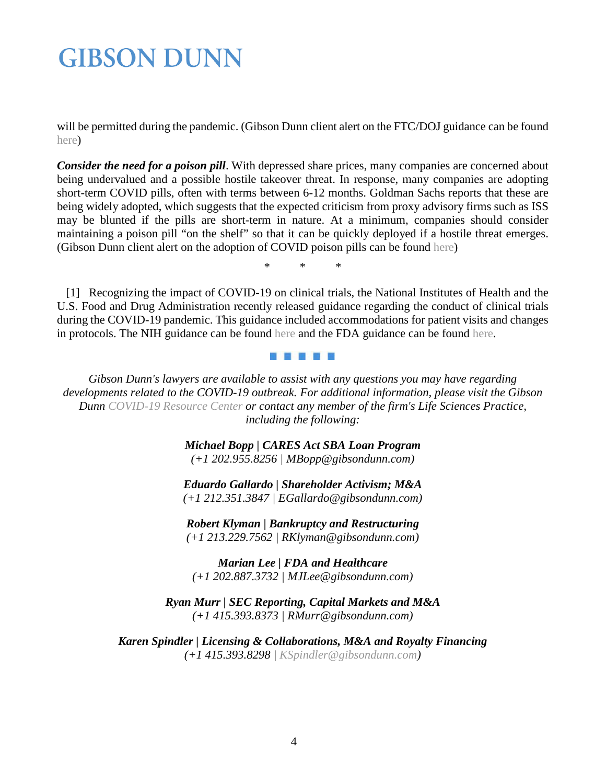will be permitted during the pandemic. (Gibson Dunn client alert on the FTC/DOJ guidance can be found [here\)](https://www.gibsondunn.com/competitor-collaborations-during-covid-19-pandemic-practical-antitrust-guidelines-and-an-update-from-the-doj-and-ftc/)

*Consider the need for a poison pill*. With depressed share prices, many companies are concerned about being undervalued and a possible hostile takeover threat. In response, many companies are adopting short-term COVID pills, often with terms between 6-12 months. Goldman Sachs reports that these are being widely adopted, which suggests that the expected criticism from proxy advisory firms such as ISS may be blunted if the pills are short-term in nature. At a minimum, companies should consider maintaining a poison pill "on the shelf" so that it can be quickly deployed if a hostile threat emerges. (Gibson Dunn client alert on the adoption of COVID poison pills can be found [here\)](https://www.gibsondunn.com/reconsidering-poison-pills/)

\* \* \*

<span id="page-3-0"></span> [1] Recognizing the impact of COVID-19 on clinical trials, the National Institutes of Health and the U.S. Food and Drug Administration recently released guidance regarding the conduct of clinical trials during the COVID-19 pandemic. This guidance included accommodations for patient visits and changes in protocols. The NIH guidance can be found [here](https://grants.nih.gov/grants/guide/notice-files/NOT-OD-20-087.html) and the FDA guidance can be found [here.](https://www.fda.gov/media/136238/download)

#### d Fin H H

*Gibson Dunn's lawyers are available to assist with any questions you may have regarding developments related to the COVID-19 outbreak. For additional information, please visit the Gibson Dunn [COVID-19 Resource Center](https://www.gibsondunn.com/coronavirus-covid-19-resource-center/) or contact any member of the firm's Life Sciences Practice, including the following:* 

> *Michael Bopp | CARES Act SBA Loan Program (+1 202.955.8256 | MBopp@gibsondunn.com)*

> *Eduardo Gallardo | Shareholder Activism; M&A (+1 212.351.3847 | EGallardo@gibsondunn.com)*

*Robert Klyman | Bankruptcy and Restructuring (+1 213.229.7562 | RKlyman@gibsondunn.com)*

*Marian Lee | FDA and Healthcare (+1 202.887.3732 | MJLee@gibsondunn.com)*

*Ryan Murr | SEC Reporting, Capital Markets and M&A (+1 415.393.8373 | RMurr@gibsondunn.com)*

*Karen Spindler | Licensing & Collaborations, M&A and Royalty Financing (+1 415.393.8298 | [KSpindler@gibsondunn.com\)](mailto:KSpindler@gibsondunn.com)*